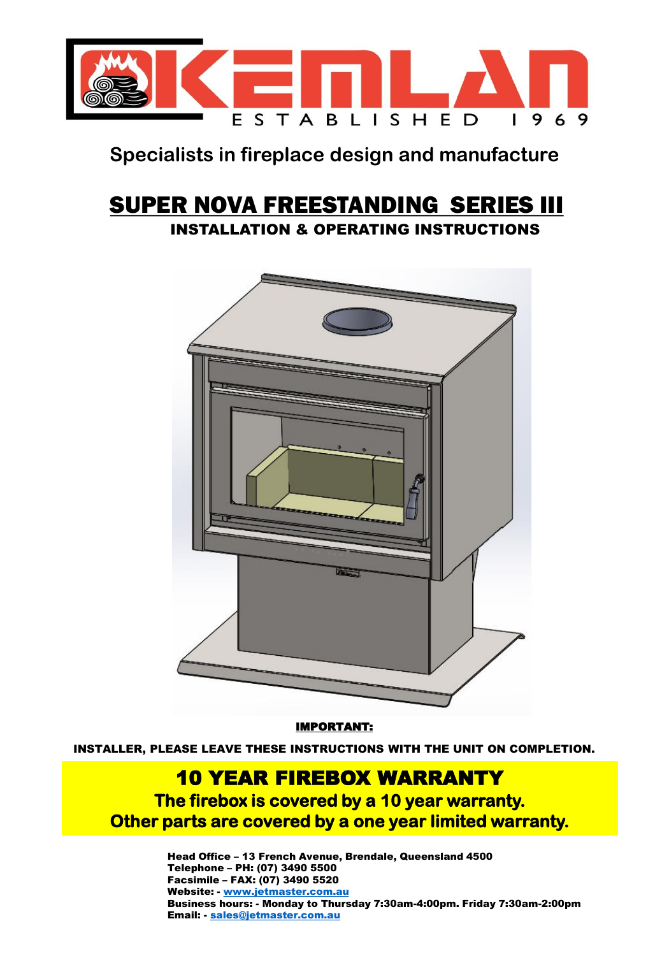

## **Specialists in fireplace design and manufacture**

## SUPER NOVA FREESTANDING SERIES III INSTALLATION & OPERATING INSTRUCTIONS



IMPORTANT:

INSTALLER, PLEASE LEAVE THESE INSTRUCTIONS WITH THE UNIT ON COMPLETION.

## 10 YEAR FIREBOX WARRANTY

**The firebox is covered by a 10 year warranty. Other parts are covered by a one year limited warranty.**

> Head Office – 13 French Avenue, Brendale, Queensland 4500 Telephone – PH: (07) 3490 5500 Facsimile – FAX: (07) 3490 5520 Website: - [www.jetmaster.com.au](http://www.kemlan.com/) Business hours: - Monday to Thursday 7:30am-4:00pm. Friday 7:30am-2:00pm Email: - [sales@jetmaster.com.au](mailto:sales@kemlan.com.au)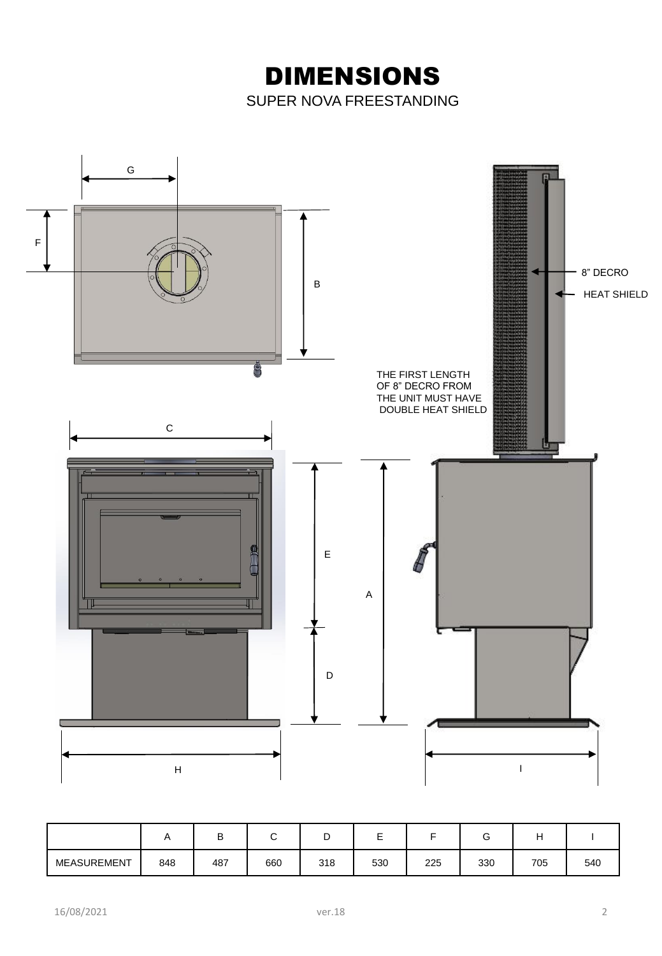DIMENSIONS SUPER NOVA FREESTANDING



|             |     | ◡   |     | ັ   | −   |     |     |     |     |
|-------------|-----|-----|-----|-----|-----|-----|-----|-----|-----|
| MEASUREMENT | 848 | 487 | 660 | 318 | 530 | 225 | 330 | 705 | 540 |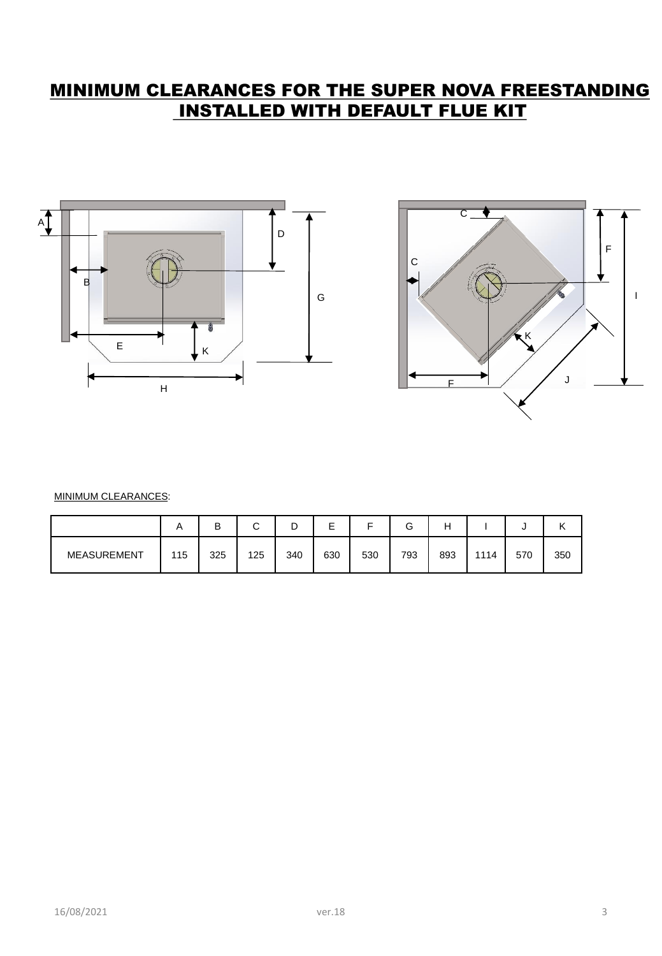## MINIMUM CLEARANCES FOR THE SUPER NOVA FREESTANDING INSTALLED WITH DEFAULT FLUE KIT





MINIMUM CLEARANCES:

|                    | A   | В   | $\sim$<br>ີ | ◡   | -   | -   | ⌒<br>G | Н   |      | ີ   | ''  |
|--------------------|-----|-----|-------------|-----|-----|-----|--------|-----|------|-----|-----|
| <b>MEASUREMENT</b> | 115 | 325 | 125         | 340 | 630 | 530 | 793    | 893 | 1114 | 570 | 350 |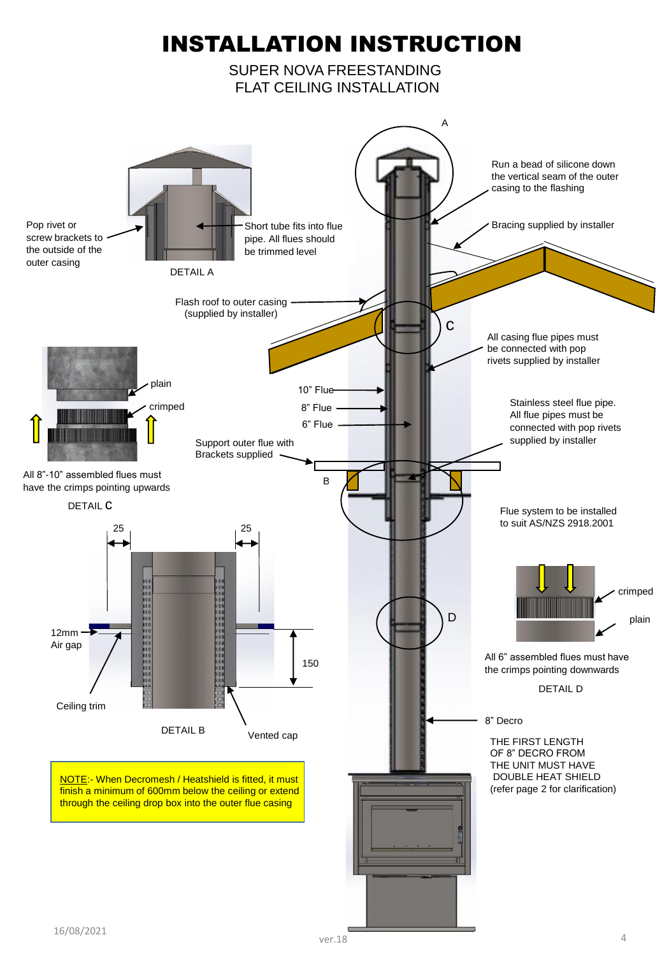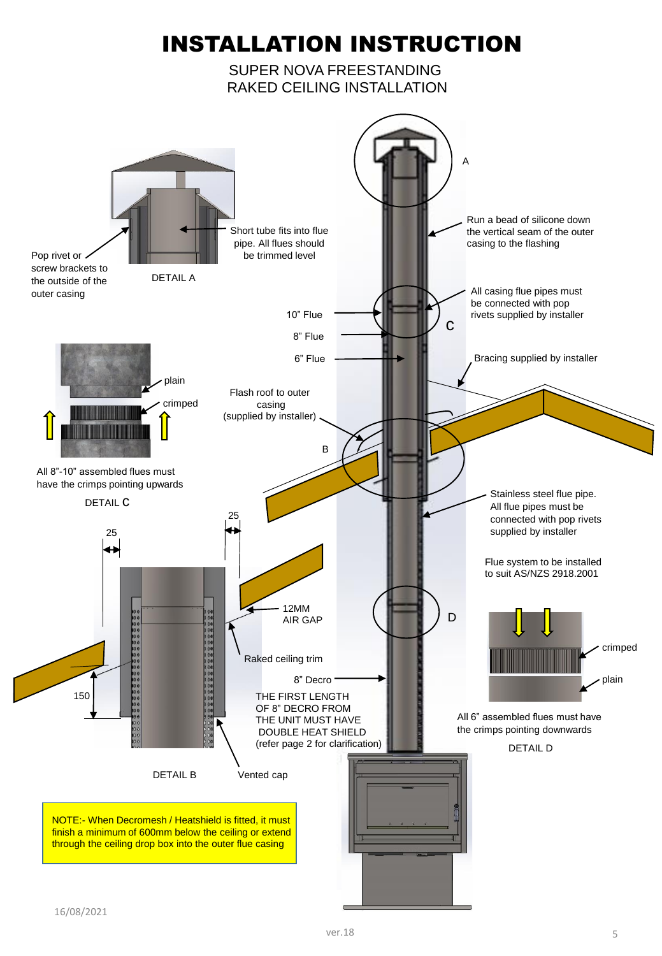# INSTALLATION INSTRUCTION

SUPER NOVA FREESTANDING RAKED CEILING INSTALLATION

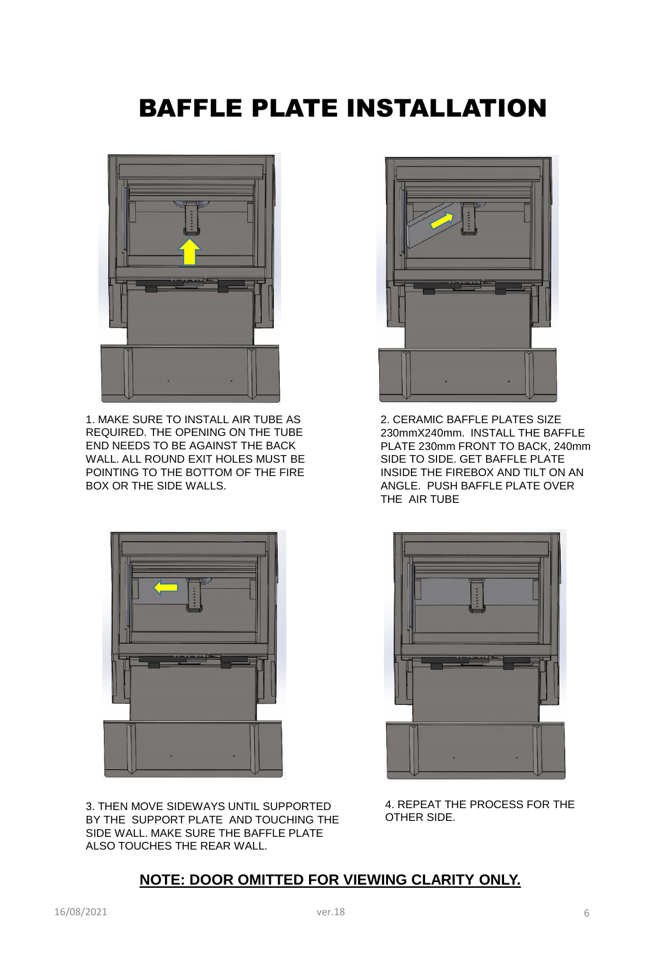# BAFFLE PLATE INSTALLATION



1. MAKE SURE TO INSTALL AIR TUBE AS REQUIRED. THE OPENING ON THE TUBE END NEEDS TO BE AGAINST THE BACK WALL. ALL ROUND EXIT HOLES MUST BE POINTING TO THE BOTTOM OF THE FIRE BOX OR THE SIDE WALLS.



3. THEN MOVE SIDEWAYS UNTIL SUPPORTED BY THE SUPPORT PLATE AND TOUCHING THE SIDE WALL. MAKE SURE THE BAFFLE PLATE ALSO TOUCHES THE REAR WALL.



2. CERAMIC BAFFLE PLATES SIZE 230mmX240mm. INSTALL THE BAFFLE PLATE 230mm FRONT TO BACK, 240mm SIDE TO SIDE. GET BAFFLE PLATE INSIDE THE FIREBOX AND TILT ON AN ANGLE. PUSH BAFFLE PLATE OVER THE AIR TUBE



4. REPEAT THE PROCESS FOR THE OTHER SIDE.

#### **NOTE: DOOR OMITTED FOR VIEWING CLARITY ONLY.**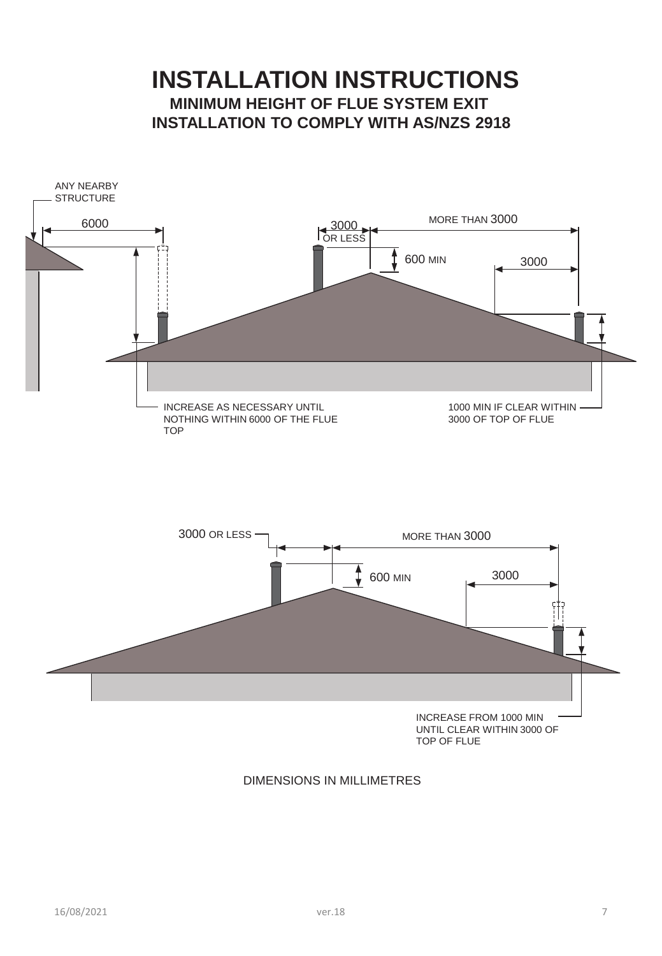## **INSTALLATION INSTRUCTIONS MINIMUM HEIGHT OF FLUE SYSTEM EXIT INSTALLATION TO COMPLY WITH AS/NZS 2918**



#### DIMENSIONS IN MILLIMETRES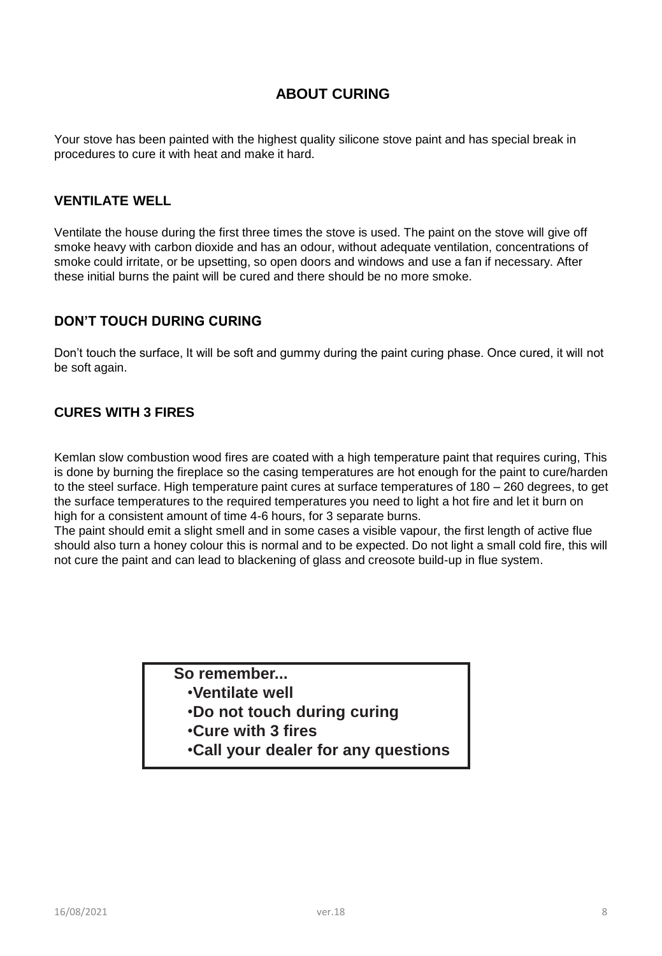#### **ABOUT CURING**

Your stove has been painted with the highest quality silicone stove paint and has special break in procedures to cure it with heat and make it hard.

#### **VENTILATE WELL**

Ventilate the house during the first three times the stove is used. The paint on the stove will give off smoke heavy with carbon dioxide and has an odour, without adequate ventilation, concentrations of smoke could irritate, or be upsetting, so open doors and windows and use a fan if necessary. After these initial burns the paint will be cured and there should be no more smoke.

#### **DON'T TOUCH DURING CURING**

Don't touch the surface, It will be soft and gummy during the paint curing phase. Once cured, it will not be soft again.

#### **CURES WITH 3 FIRES**

Kemlan slow combustion wood fires are coated with a high temperature paint that requires curing, This is done by burning the fireplace so the casing temperatures are hot enough for the paint to cure/harden to the steel surface. High temperature paint cures at surface temperatures of 180 – 260 degrees, to get the surface temperatures to the required temperatures you need to light a hot fire and let it burn on high for a consistent amount of time 4-6 hours, for 3 separate burns.

The paint should emit a slight smell and in some cases a visible vapour, the first length of active flue should also turn a honey colour this is normal and to be expected. Do not light a small cold fire, this will not cure the paint and can lead to blackening of glass and creosote build-up in flue system.

#### **So remember...**

- •**Ventilate well**
- •**Do not touch during curing**
- •**Cure with 3 fires**
- •**Call your dealer for any questions**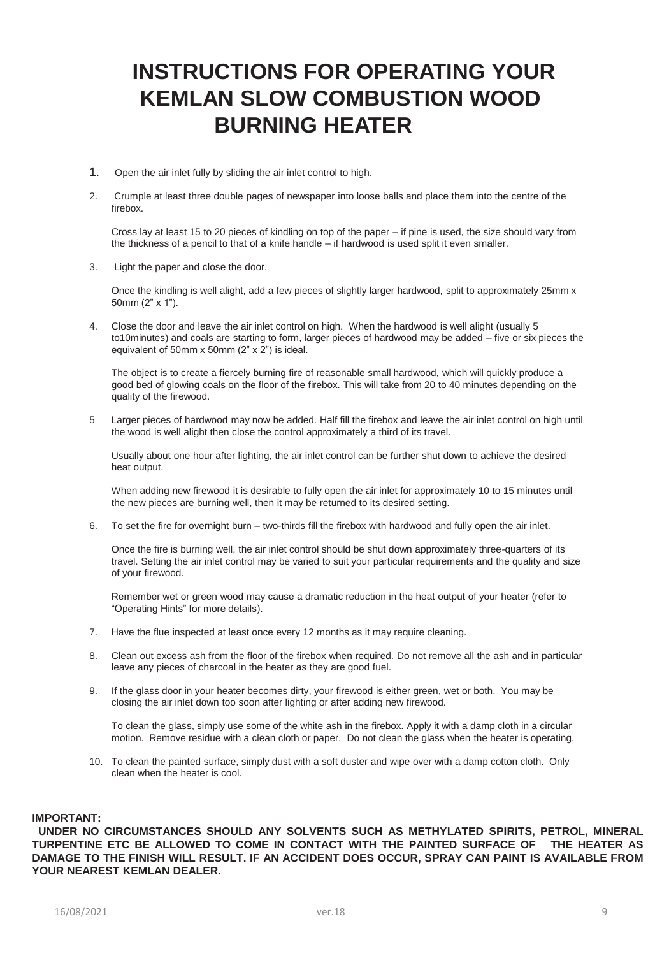## **INSTRUCTIONS FOR OPERATING YOUR KEMLAN SLOW COMBUSTION WOOD BURNING HEATER**

- 1. Open the air inlet fully by sliding the air inlet control to high.
- 2. Crumple at least three double pages of newspaper into loose balls and place them into the centre of the firebox.

Cross lay at least 15 to 20 pieces of kindling on top of the paper – if pine is used, the size should vary from the thickness of a pencil to that of a knife handle – if hardwood is used split it even smaller.

3. Light the paper and close the door.

Once the kindling is well alight, add a few pieces of slightly larger hardwood, split to approximately 25mm x 50mm (2" x 1").

4. Close the door and leave the air inlet control on high. When the hardwood is well alight (usually 5 to10minutes) and coals are starting to form, larger pieces of hardwood may be added – five or six pieces the equivalent of 50mm x 50mm (2" x 2") is ideal.

The object is to create a fiercely burning fire of reasonable small hardwood, which will quickly produce a good bed of glowing coals on the floor of the firebox. This will take from 20 to 40 minutes depending on the quality of the firewood.

5 Larger pieces of hardwood may now be added. Half fill the firebox and leave the air inlet control on high until the wood is well alight then close the control approximately a third of its travel.

Usually about one hour after lighting, the air inlet control can be further shut down to achieve the desired heat output.

When adding new firewood it is desirable to fully open the air inlet for approximately 10 to 15 minutes until the new pieces are burning well, then it may be returned to its desired setting.

6. To set the fire for overnight burn – two-thirds fill the firebox with hardwood and fully open the air inlet.

Once the fire is burning well, the air inlet control should be shut down approximately three-quarters of its travel. Setting the air inlet control may be varied to suit your particular requirements and the quality and size of your firewood.

Remember wet or green wood may cause a dramatic reduction in the heat output of your heater (refer to "Operating Hints" for more details).

- 7. Have the flue inspected at least once every 12 months as it may require cleaning.
- 8. Clean out excess ash from the floor of the firebox when required. Do not remove all the ash and in particular leave any pieces of charcoal in the heater as they are good fuel.
- 9. If the glass door in your heater becomes dirty, your firewood is either green, wet or both. You may be closing the air inlet down too soon after lighting or after adding new firewood.

To clean the glass, simply use some of the white ash in the firebox. Apply it with a damp cloth in a circular motion. Remove residue with a clean cloth or paper. Do not clean the glass when the heater is operating.

10. To clean the painted surface, simply dust with a soft duster and wipe over with a damp cotton cloth. Only clean when the heater is cool.

#### **IMPORTANT:**

**UNDER NO CIRCUMSTANCES SHOULD ANY SOLVENTS SUCH AS METHYLATED SPIRITS, PETROL, MINERAL TURPENTINE ETC BE ALLOWED TO COME IN CONTACT WITH THE PAINTED SURFACE OF THE HEATER AS DAMAGE TO THE FINISH WILL RESULT. IF AN ACCIDENT DOES OCCUR, SPRAY CAN PAINT IS AVAILABLE FROM YOUR NEAREST KEMLAN DEALER.**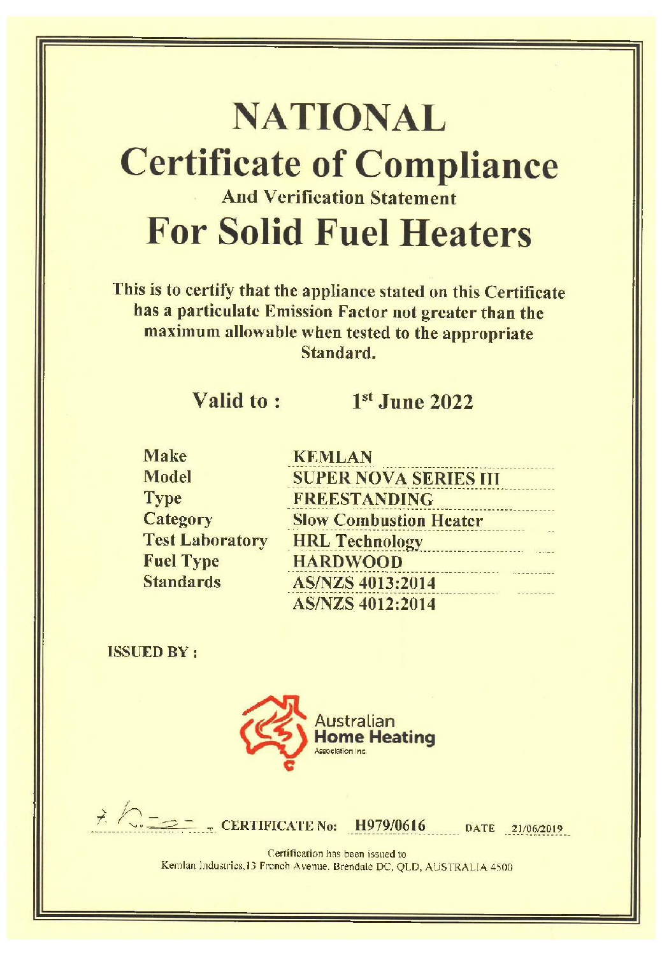# **NATIONAL Certificate of Compliance And Verification Statement For Solid Fuel Heaters**

This is to certify that the appliance stated on this Certificate has a particulate Emission Factor not greater than the maximum allowable when tested to the appropriate Standard.

## Valid to:

## $1<sup>st</sup>$  June 2022

| <b>Make</b>            | KF         |
|------------------------|------------|
| Model                  | SU         |
| <b>Type</b>            | FR         |
| Category               | <b>Slo</b> |
| <b>Test Laboratory</b> | HR         |
| <b>Fuel Type</b>       | HA         |
| <b>Standards</b>       | AS         |
|                        |            |

| <b>KEMLAN</b>                 |
|-------------------------------|
| <b>SUPER NOVA SERIES III</b>  |
| <b>FREESTANDING</b>           |
| <b>Slow Combustion Heater</b> |
| <b>HRL Technology</b>         |
| <b>HARDWOOD</b>               |
| <b>AS/NZS 4013:2014</b>       |
| <b>AS/NZS 4012:2014</b>       |

**ISSUED BY:** 



 $\frac{7}{2}$  /  $\frac{21}{106/2019}$  CERTIFICATE No: H979/0616 DATE 21/06/2019

Certification has been issued to Kemlan Industries, 13 French Avenue. Brendale DC, QLD, AUSTRALIA 4500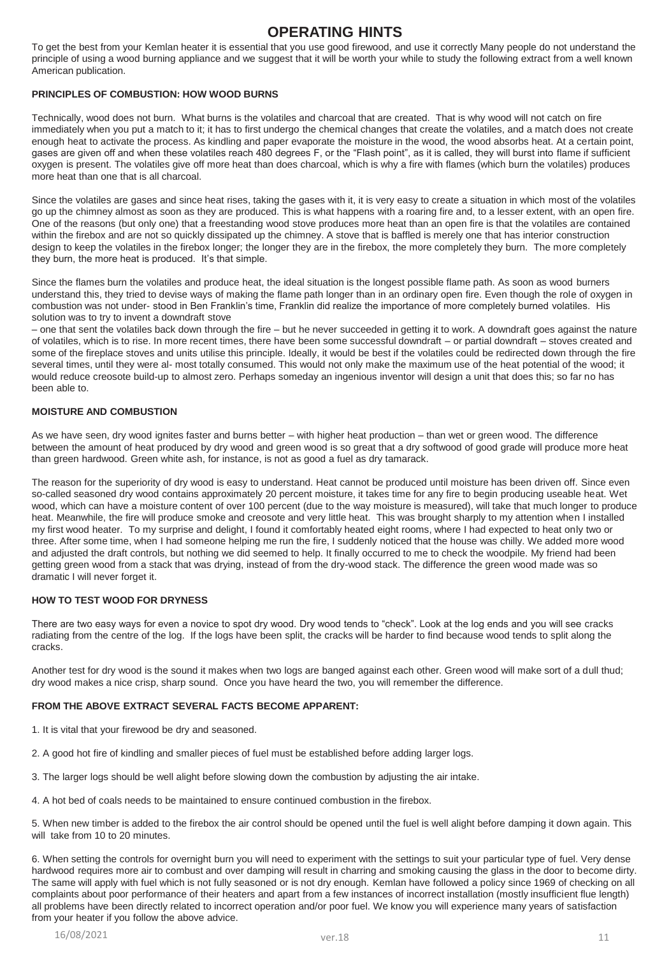#### **OPERATING HINTS**

To get the best from your Kemlan heater it is essential that you use good firewood, and use it correctly Many people do not understand the principle of using a wood burning appliance and we suggest that it will be worth your while to study the following extract from a well known American publication.

#### **PRINCIPLES OF COMBUSTION: HOW WOOD BURNS**

Technically, wood does not burn. What burns is the volatiles and charcoal that are created. That is why wood will not catch on fire immediately when you put a match to it; it has to first undergo the chemical changes that create the volatiles, and a match does not create enough heat to activate the process. As kindling and paper evaporate the moisture in the wood, the wood absorbs heat. At a certain point, gases are given off and when these volatiles reach 480 degrees F, or the "Flash point", as it is called, they will burst into flame if sufficient oxygen is present. The volatiles give off more heat than does charcoal, which is why a fire with flames (which burn the volatiles) produces more heat than one that is all charcoal.

Since the volatiles are gases and since heat rises, taking the gases with it, it is very easy to create a situation in which most of the volatiles go up the chimney almost as soon as they are produced. This is what happens with a roaring fire and, to a lesser extent, with an open fire. One of the reasons (but only one) that a freestanding wood stove produces more heat than an open fire is that the volatiles are contained within the firebox and are not so quickly dissipated up the chimney. A stove that is baffled is merely one that has interior construction design to keep the volatiles in the firebox longer; the longer they are in the firebox, the more completely they burn. The more completely they burn, the more heat is produced. It's that simple.

Since the flames burn the volatiles and produce heat, the ideal situation is the longest possible flame path. As soon as wood burners understand this, they tried to devise ways of making the flame path longer than in an ordinary open fire. Even though the role of oxygen in combustion was not under- stood in Ben Franklin's time, Franklin did realize the importance of more completely burned volatiles. His solution was to try to invent a downdraft stove

– one that sent the volatiles back down through the fire – but he never succeeded in getting it to work. A downdraft goes against the nature of volatiles, which is to rise. In more recent times, there have been some successful downdraft – or partial downdraft – stoves created and some of the fireplace stoves and units utilise this principle. Ideally, it would be best if the volatiles could be redirected down through the fire several times, until they were al- most totally consumed. This would not only make the maximum use of the heat potential of the wood; it would reduce creosote build-up to almost zero. Perhaps someday an ingenious inventor will design a unit that does this; so far no has been able to.

#### **MOISTURE AND COMBUSTION**

As we have seen, dry wood ignites faster and burns better – with higher heat production – than wet or green wood. The difference between the amount of heat produced by dry wood and green wood is so great that a dry softwood of good grade will produce more heat than green hardwood. Green white ash, for instance, is not as good a fuel as dry tamarack.

The reason for the superiority of dry wood is easy to understand. Heat cannot be produced until moisture has been driven off. Since even so-called seasoned dry wood contains approximately 20 percent moisture, it takes time for any fire to begin producing useable heat. Wet wood, which can have a moisture content of over 100 percent (due to the way moisture is measured), will take that much longer to produce heat. Meanwhile, the fire will produce smoke and creosote and very little heat. This was brought sharply to my attention when I installed my first wood heater. To my surprise and delight, I found it comfortably heated eight rooms, where I had expected to heat only two or three. After some time, when I had someone helping me run the fire, I suddenly noticed that the house was chilly. We added more wood and adjusted the draft controls, but nothing we did seemed to help. It finally occurred to me to check the woodpile. My friend had been getting green wood from a stack that was drying, instead of from the dry-wood stack. The difference the green wood made was so dramatic I will never forget it.

#### **HOW TO TEST WOOD FOR DRYNESS**

There are two easy ways for even a novice to spot dry wood. Dry wood tends to "check". Look at the log ends and you will see cracks radiating from the centre of the log. If the logs have been split, the cracks will be harder to find because wood tends to split along the cracks.

Another test for dry wood is the sound it makes when two logs are banged against each other. Green wood will make sort of a dull thud; dry wood makes a nice crisp, sharp sound. Once you have heard the two, you will remember the difference.

#### **FROM THE ABOVE EXTRACT SEVERAL FACTS BECOME APPARENT:**

- 1. It is vital that your firewood be dry and seasoned.
- 2. A good hot fire of kindling and smaller pieces of fuel must be established before adding larger logs.
- 3. The larger logs should be well alight before slowing down the combustion by adjusting the air intake.
- 4. A hot bed of coals needs to be maintained to ensure continued combustion in the firebox.

5. When new timber is added to the firebox the air control should be opened until the fuel is well alight before damping it down again. This will take from 10 to 20 minutes.

6. When setting the controls for overnight burn you will need to experiment with the settings to suit your particular type of fuel. Very dense hardwood requires more air to combust and over damping will result in charring and smoking causing the glass in the door to become dirty. The same will apply with fuel which is not fully seasoned or is not dry enough. Kemlan have followed a policy since 1969 of checking on all complaints about poor performance of their heaters and apart from a few instances of incorrect installation (mostly insufficient flue length) all problems have been directly related to incorrect operation and/or poor fuel. We know you will experience many years of satisfaction from your heater if you follow the above advice.